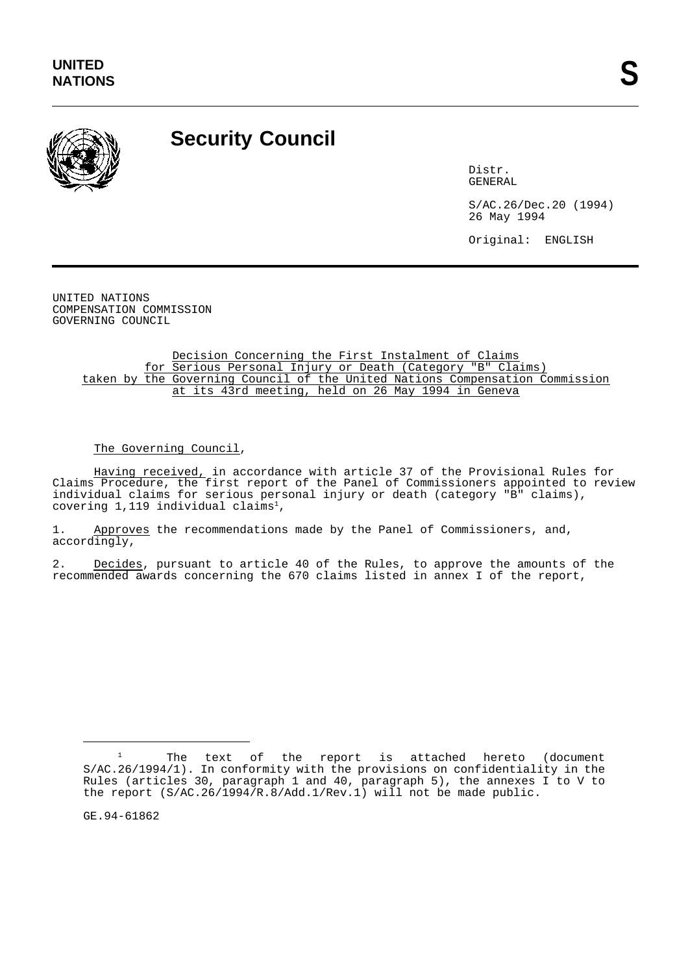

## **Security Council**

Distr. GENERAL

S/AC.26/Dec.20 (1994) 26 May 1994

Original: ENGLISH

UNITED NATIONS COMPENSATION COMMISSION GOVERNING COUNCIL

> Decision Concerning the First Instalment of Claims for Serious Personal Injury or Death (Category "B" Claims) taken by the Governing Council of the United Nations Compensation Commission at its 43rd meeting, held on 26 May 1994 in Geneva

The Governing Council,

Having received, in accordance with article 37 of the Provisional Rules for Claims Procedure, the first report of the Panel of Commissioners appointed to review individual claims for serious personal injury or death (category "B" claims), covering  $1,119$  individual claims<sup>1</sup>,

1. Approves the recommendations made by the Panel of Commissioners, and, accordingly,

2. Decides, pursuant to article 40 of the Rules, to approve the amounts of the recommended awards concerning the 670 claims listed in annex I of the report,

GE.94-61862

<sup>&</sup>lt;sup>1</sup> The text of the report is attached hereto (document S/AC.26/1994/1). In conformity with the provisions on confidentiality in the Rules (articles 30, paragraph 1 and 40, paragraph 5), the annexes I to V to the report  $(S/AC.26/1994/R.\overline{8}/Add.1/Rev.1)$  will not be made public.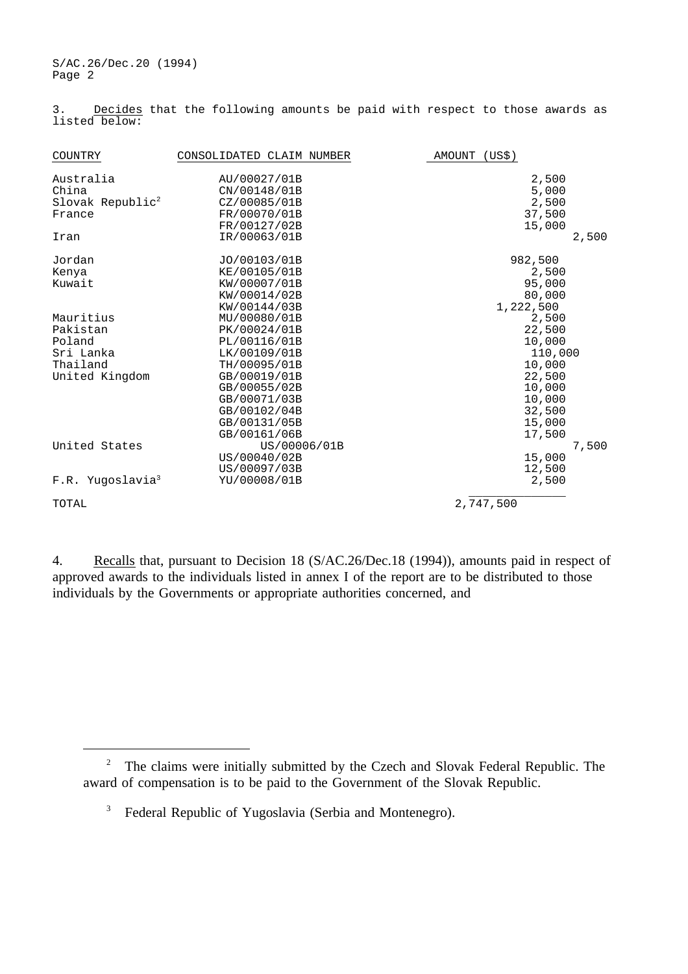S/AC.26/Dec.20 (1994) Page 2

Decides that the following amounts be paid with respect to those awards as 3. Decides<br>listed below:

| COUNTRY                                                                    | CONSOLIDATED CLAIM NUMBER                                                                                                                    | (US\$)<br>AMOUNT                                                             |
|----------------------------------------------------------------------------|----------------------------------------------------------------------------------------------------------------------------------------------|------------------------------------------------------------------------------|
| Australia<br>China<br>Slovak Republic <sup>2</sup><br>France<br>Iran       | AU/00027/01B<br>CN/00148/01B<br>CZ/00085/01B<br>FR/00070/01B<br>FR/00127/02B<br>IR/00063/01B                                                 | 2,500<br>5,000<br>2,500<br>37,500<br>15,000<br>2,500                         |
| Jordan<br>Kenya<br>Kuwait                                                  | JO/00103/01B<br>KE/00105/01B<br>KW/00007/01B<br>KW/00014/02B<br>KW/00144/03B                                                                 | 982,500<br>2,500<br>95,000<br>80,000<br>1,222,500                            |
| Mauritius<br>Pakistan<br>Poland<br>Sri Lanka<br>Thailand<br>United Kingdom | MU/00080/01B<br>PK/00024/01B<br>PL/00116/01B<br>LK/00109/01B<br>TH/00095/01B<br>GB/00019/01B<br>GB/00055/02B<br>GB/00071/03B<br>GB/00102/04B | 2,500<br>22,500<br>10,000<br>110,000<br>10,000<br>22,500<br>10,000<br>10,000 |
| United States<br>F.R. Yugoslavia <sup>3</sup>                              | GB/00131/05B<br>GB/00161/06B<br>US/00006/01B<br>US/00040/02B<br>US/00097/03B<br>YU/00008/01B                                                 | 32,500<br>15,000<br>17,500<br>7,500<br>15,000<br>12,500<br>2,500             |
| TOTAL                                                                      |                                                                                                                                              | 2,747,500                                                                    |

4. Recalls that, pursuant to Decision 18 (S/AC.26/Dec.18 (1994)), amounts paid in respect of approved awards to the individuals listed in annex I of the report are to be distributed to those individuals by the Governments or appropriate authorities concerned, and

<sup>&</sup>lt;sup>2</sup> The claims were initially submitted by the Czech and Slovak Federal Republic. The award of compensation is to be paid to the Government of the Slovak Republic.

<sup>&</sup>lt;sup>3</sup> Federal Republic of Yugoslavia (Serbia and Montenegro).